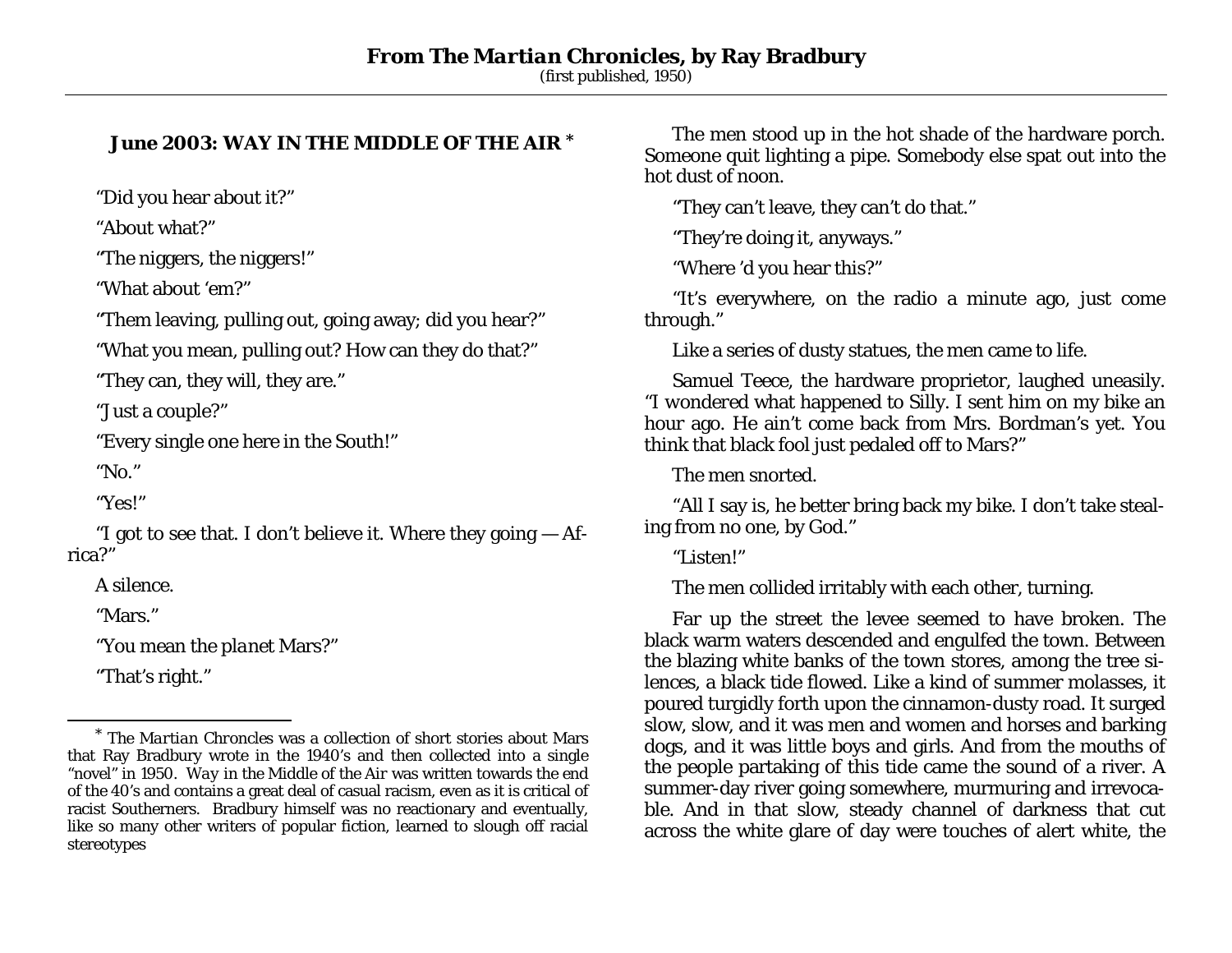(first published, 1950)

## **June 2003: WAY IN THE MIDDLE OF THE AIR \***

"Did you hear about it?"

"About what?"

"The niggers, the niggers!"

"What about 'em?"

"Them leaving, pulling out, going away; did you hear?"

"What you mean, pulling out? How can they do that?"

"They can, they will, they are."

"Just a couple?"

"Every single one here in the South!"

"No."

"Yes!"

"I got to see that. I don't believe it. Where they going — Africa?"

A silence.

"Mars."

"You mean the *planet* Mars?"

"That's right."

The men stood up in the hot shade of the hardware porch. Someone quit lighting a pipe. Somebody else spat out into the hot dust of noon.

"They can't leave, they can't do that."

"They're doing it, anyways."

"Where 'd you hear this?"

"It's everywhere, on the radio a minute ago, just come through."

Like a series of dusty statues, the men came to life.

Samuel Teece, the hardware proprietor, laughed uneasily. "I *wondered* what happened to Silly. I sent him on my bike an hour ago. He ain't come back from Mrs. Bordman's yet. You think that black fool just pedaled off to Mars?"

The men snorted.

"All I say is, he better bring back my bike. I don't take stealing from no one, by God."

## "Listen!"

The men collided irritably with each other, turning.

Far up the street the levee seemed to have broken. The black warm waters descended and engulfed the town. Between the blazing white banks of the town stores, among the tree silences, a black tide flowed. Like a kind of summer molasses, it poured turgidly forth upon the cinnamon-dusty road. It surged slow, slow, and it was men and women and horses and barking dogs, and it was little boys and girls. And from the mouths of the people partaking of this tide came the sound of a river. A summer-day river going somewhere, murmuring and irrevocable. And in that slow, steady channel of darkness that cut across the white glare of day were touches of alert white, the

<sup>\*</sup> *The Martian Chroncles* was a collection of short stories about Mars that Ray Bradbury wrote in the 1940's and then collected into a single "novel" in 1950. *Way in the Middle of the Air* was written towards the end of the 40's and contains a great deal of casual racism, even as it is critical of racist Southerners. Bradbury himself was no reactionary and eventually, like so many other writers of popular fiction, learned to slough off racial stereotypes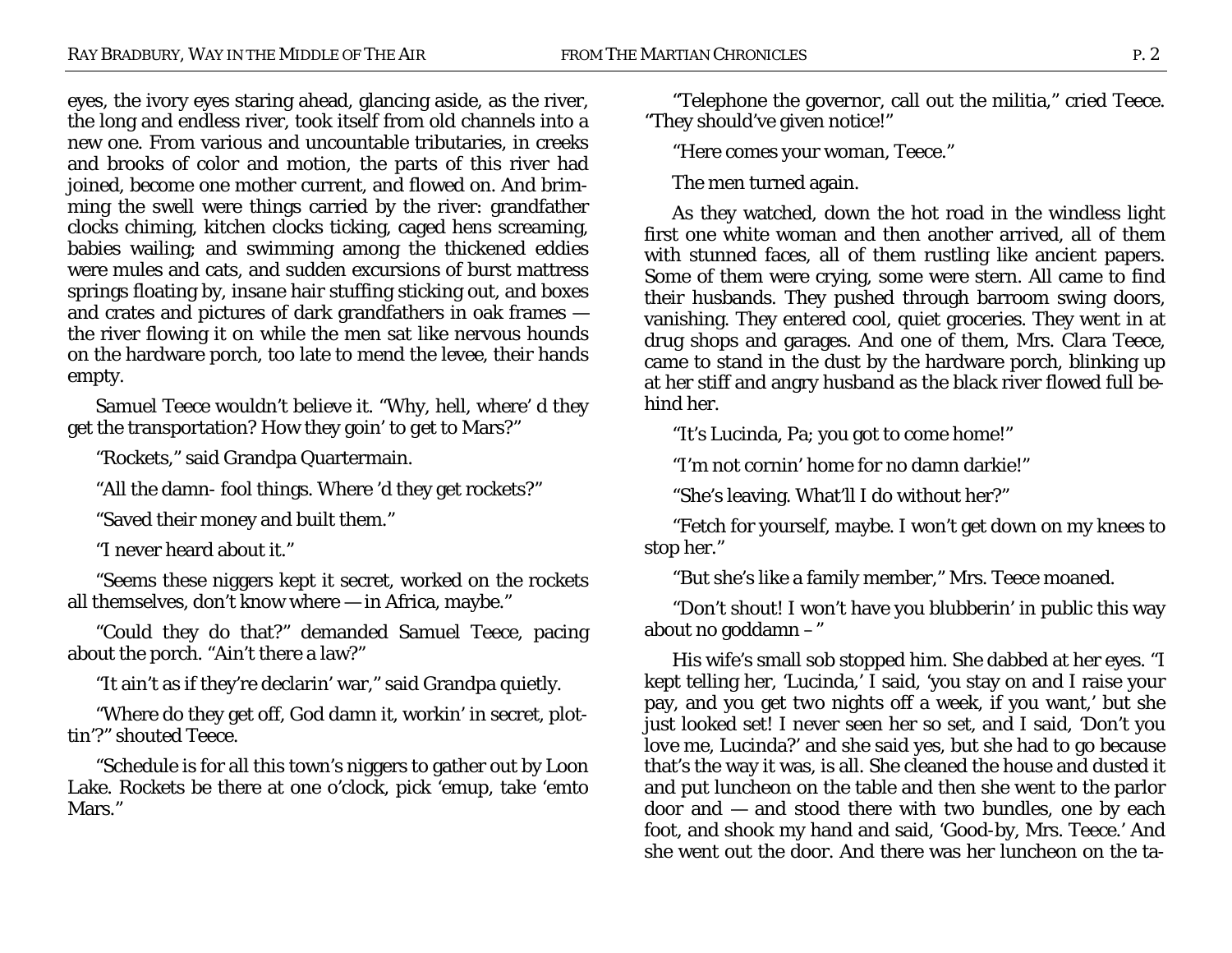eyes, the ivory eyes staring ahead, glancing aside, as the river, the long and endless river, took itself from old channels into a new one. From various and uncountable tributaries, in creeks and brooks of color and motion, the parts of this river had joined, become one mother current, and flowed on. And brimming the swell were things carried by the river: grandfather clocks chiming, kitchen clocks ticking, caged hens screaming, babies wailing; and swimming among the thickened eddies were mules and cats, and sudden excursions of burst mattress springs floating by, insane hair stuffing sticking out, and boxes and crates and pictures of dark grandfathers in oak frames the river flowing it on while the men sat like nervous hounds on the hardware porch, too late to mend the levee, their hands empty.

Samuel Teece wouldn't believe it. "Why, hell, where' d they get the transportation? How they goin' to *get* to Mars?"

"Rockets," said Grandpa Quartermain.

"All the damn- fool things. Where 'd they get rockets?"

"Saved their money and built them."

"I never heard about it."

"Seems these niggers kept it secret, worked on the rockets all themselves, don't know where — in Africa, maybe."

"Could they *do* that?" demanded Samuel Teece, pacing about the porch. "Ain't there a law?"

"It ain't as if they're declarin' war," said Grandpa quietly.

"Where do they get off, God damn it, workin' in secret, plottin'?" shouted Teece.

"Schedule is for all this town's niggers to gather out by Loon Lake. Rockets be there at one o'clock, pick 'emup, take 'emto Mars."

"Telephone the governor, call out the militia," cried Teece. "They should've given notice!"

"Here comes your woman, Teece."

The men turned again.

As they watched, down the hot road in the windless light first one white woman and then another arrived, all of them with stunned faces, all of them rustling like ancient papers. Some of them were crying, some were stern. All came to find their husbands. They pushed through barroom swing doors, vanishing. They entered cool, quiet groceries. They went in at drug shops and garages. And one of them, Mrs. Clara Teece, came to stand in the dust by the hardware porch, blinking up at her stiff and angry husband as the black river flowed full behind her.

"It's Lucinda, Pa; you got to come home!"

"I'm not cornin' home for no damn darkie!"

"She's leaving. What'll I do without her?"

"Fetch for yourself, maybe. I won't get down on my knees to stop her."

"But she's like a family member," Mrs. Teece moaned.

"Don't shout! I won't have you blubberin' in public this way about no goddamn –"

His wife's small sob stopped him. She dabbed at her eyes. "I kept telling her, 'Lucinda,' I said, 'you stay on and I raise your pay, and you get *two* nights off a week, if you want,' but she just looked set! I never seen her so set, and I said, 'Don't you *love* me, Lucinda?' and she said yes, but she had to go because that's the way it was, is all. She cleaned the house and dusted it and put luncheon on the table and then she went to the parlor door and — and stood there with two bundles, one by each foot, and shook my hand and said, 'Good-by, Mrs. Teece.' And she went out the door. And there was her luncheon on the ta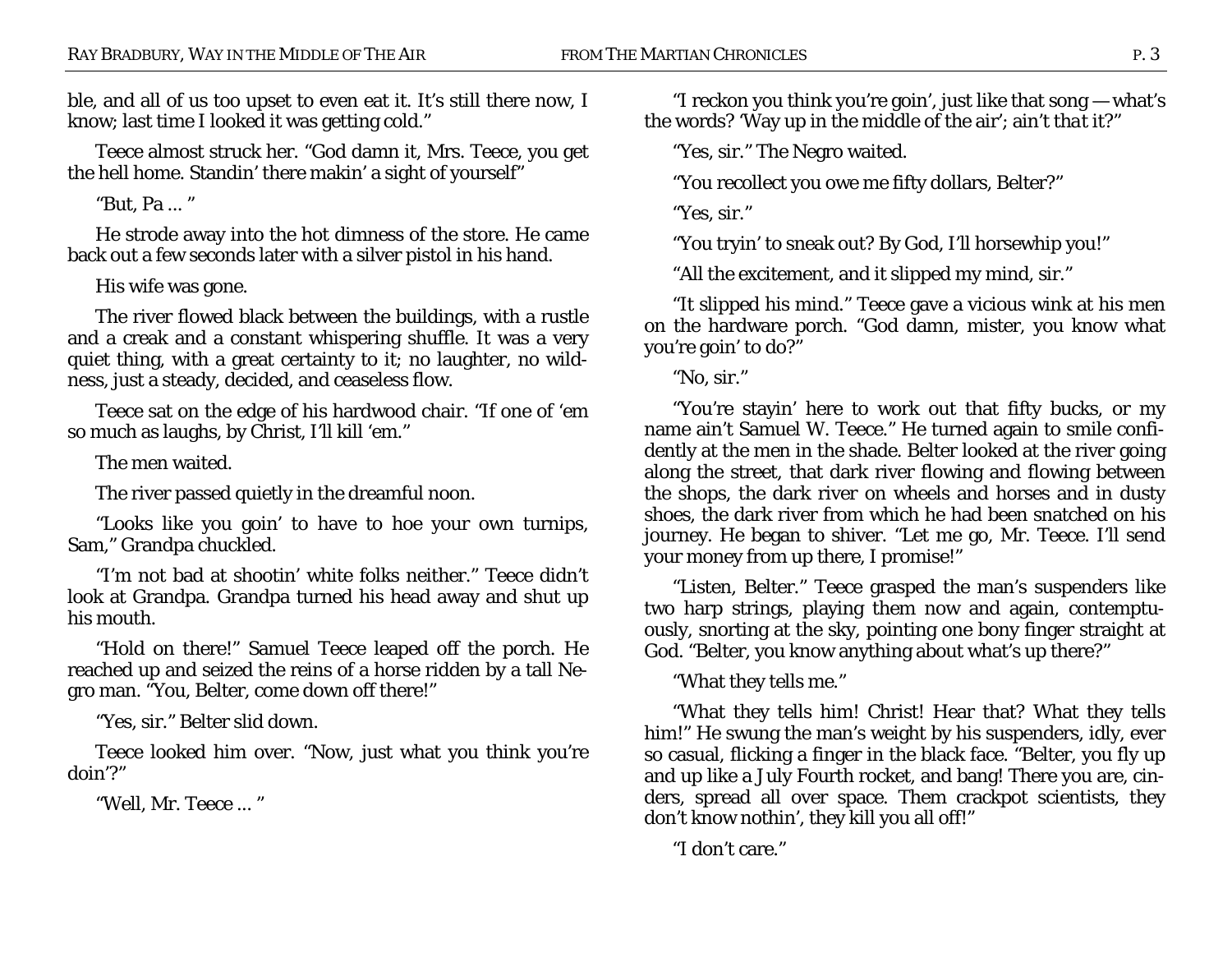ble, and all of us too upset to even eat it. It's still there now, I know; last time I looked it was getting cold."

Teece almost struck her. "God damn it, Mrs. Teece, you get the hell home. Standin' there makin' a sight of yourself"

"But, Pa ... "

He strode away into the hot dimness of the store. He came back out a few seconds later with a silver pistol in his hand.

His wife was gone.

The river flowed black between the buildings, with a rustle and a creak and a constant whispering shuffle. It was a very quiet thing, with a great certainty to it; no laughter, no wildness, just a steady, decided, and ceaseless flow.

Teece sat on the edge of his hardwood chair. "If one of 'em so much as laughs, by Christ, I'll kill 'em."

The men waited.

The river passed quietly in the dreamful noon.

"Looks like you goin' to have to hoe your own turnips, Sam," Grandpa chuckled.

"I'm not bad at shootin' white folks neither." Teece didn't look at Grandpa. Grandpa turned his head away and shut up his mouth.

"Hold on there!" Samuel Teece leaped off the porch. He reached up and seized the reins of a horse ridden by a tall Negro man. "You, Belter, come down off there!"

"Yes, sir." Belter slid down.

Teece looked him over. "Now, just what you think you're doin'?"

"Well, Mr. Teece ... "

"I reckon you think you're goin', just like that song — what's the words? 'Way up in the middle of the air'; ain't *that* it?"

"Yes, sir." The Negro waited.

"You recollect you owe me fifty dollars, Belter?"

"Yes, sir."

"You tryin' to sneak out? By God, I'll horsewhip you!"

"All the excitement, and it slipped my mind, sir."

"It slipped his mind." Teece gave a vicious wink at his men on the hardware porch. "God damn, mister, you know what you're goin' to do?"

"No, sir."

"You're stayin' here to work out that fifty bucks, or my name ain't Samuel W. Teece." He turned again to smile confidently at the men in the shade. Belter looked at the river going along the street, that dark river flowing and flowing between the shops, the dark river on wheels and horses and in dusty shoes, the dark river from which he had been snatched on his journey. He began to shiver. "Let me go, Mr. Teece. I'll send your money from up there, I promise!"

"Listen, Belter." Teece grasped the man's suspenders like two harp strings, playing them now and again, contemptuously, snorting at the sky, pointing one bony finger straight at God. "Belter, you know anything about what's up there?"

"What they tells me."

"What they tells him! Christ! Hear that? What they tells him!" He swung the man's weight by his suspenders, idly, ever so casual, flicking a finger in the black face. "Belter, you fly up and up like a July Fourth rocket, and bang! There you are, cinders, spread all over space. Them crackpot scientists, they don't know nothin', they kill you all off!"

"I don't care."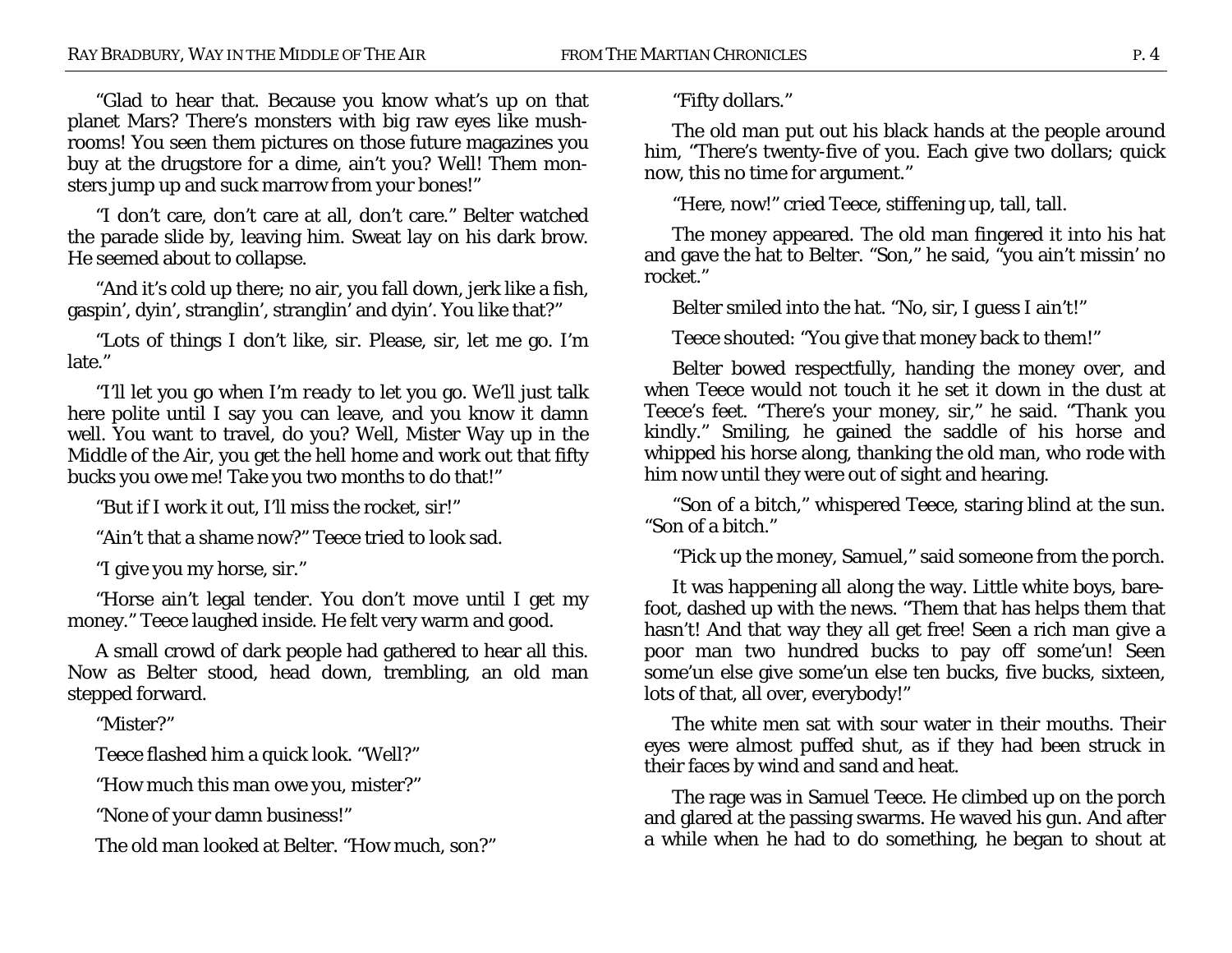"Glad to hear that. Because you know what's up on that planet Mars? There's monsters with big raw eyes like mushrooms! You seen them pictures on those future magazines you buy at the drugstore for a dime, ain't you? Well! Them monsters jump up and suck marrow from your bones!"

"I don't care, don't care at all, don't care." Belter watched the parade slide by, leaving him. Sweat lay on his dark brow. He seemed about to collapse.

"And it's cold up there; no air, you fall down, jerk like a fish, gaspin', dyin', stranglin', stranglin' and dyin'. You *like* that?"

"Lots of things I don't like, sir. Please, sir, let me go. I'm late."

"I'll let you go when I'm *ready* to let you go. We'll just talk here polite until I say you can leave, and you know it damn well. You want to travel, do you? Well, Mister Way up in the Middle of the Air, you get the hell home and work out that fifty bucks you owe me! Take you two months to do that!"

"But if I work it out, I'll miss the rocket, sir!"

"Ain't that a shame now?" Teece tried to look sad.

"I give you my horse, sir."

"Horse ain't legal tender. You don't move until I get my money." Teece laughed inside. He felt very warm and good.

A small crowd of dark people had gathered to hear all this. Now as Belter stood, head down, trembling, an old man stepped forward.

"Mister?"

Teece flashed him a quick look. "Well?"

"How much this man owe you, mister?"

"None of your damn business!"

The old man looked at Belter. "How much, son?"

"Fifty dollars."

The old man put out his black hands at the people around him, "There's twenty-five of you. Each give two dollars; quick now, this no time for argument."

"Here, now!" cried Teece, stiffening up, tall, tall.

The money appeared. The old man fingered it into his hat and gave the hat to Belter. "Son," he said, "you ain't missin' no rocket."

Belter smiled into the hat. "No, sir, I guess I ain't!"

Teece shouted: "You give that money back to them!"

Belter bowed respectfully, handing the money over, and when Teece would not touch it he set it down in the dust at Teece's feet. "There's your money, sir," he said. "Thank you kindly." Smiling, he gained the saddle of his horse and whipped his horse along, thanking the old man, who rode with him now until they were out of sight and hearing.

"Son of a bitch," whispered Teece, staring blind at the sun. "Son of a bitch."

"Pick up the money, Samuel," said someone from the porch.

It was happening all along the way. Little white boys, barefoot, dashed up with the news. "Them that has helps them that hasn't! And that way they *all* get free! Seen a rich man give a poor man two hundred bucks to pay off some'un! Seen some'un else give some'un else ten bucks, five bucks, sixteen, lots of that, all over, everybody!"

The white men sat with sour water in their mouths. Their eyes were almost puffed shut, as if they had been struck in their faces by wind and sand and heat.

The rage was in Samuel Teece. He climbed up on the porch and glared at the passing swarms. He waved his gun. And after a while when he had to do something, he began to shout at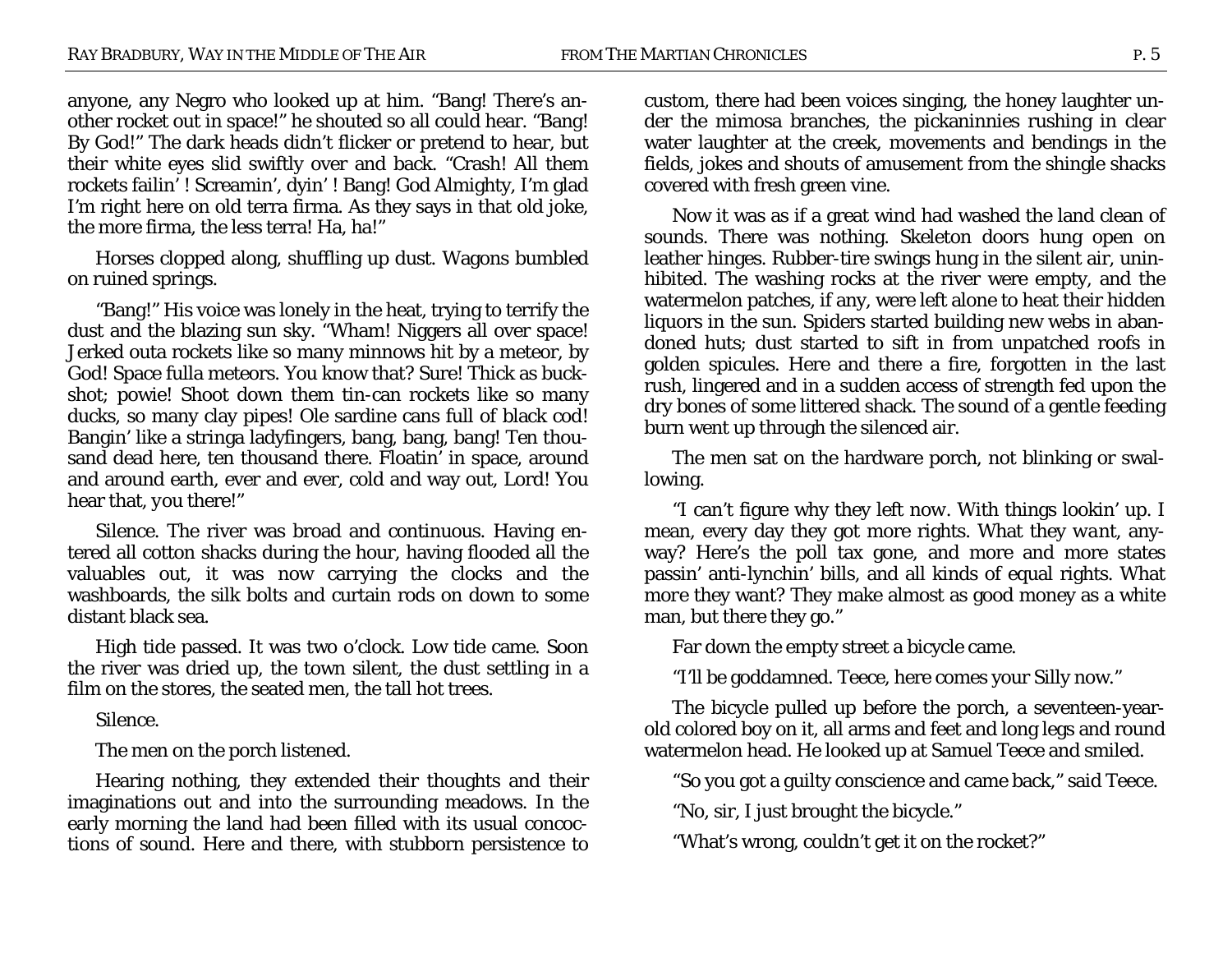anyone, any Negro who looked up at him. "Bang! There's another rocket out in space!" he shouted so all could hear. "Bang! By God!" The dark heads didn't flicker or pretend to hear, but their white eyes slid swiftly over and back. "Crash! All them rockets failin' ! Screamin', dyin' ! Bang! God Almighty, I'm glad *I'm* right here on old terra firma. As they says in that old joke, the more firma, the less terra! Ha, ha!"

Horses clopped along, shuffling up dust. Wagons bumbled on ruined springs.

"Bang!" His voice was lonely in the heat, trying to terrify the dust and the blazing sun sky. "Wham! Niggers all over space! Jerked outa rockets like so many minnows hit by a meteor, by God! Space fulla meteors. You know that? Sure! Thick as buckshot; powie! Shoot down them tin-can rockets like so many ducks, so many clay pipes! Ole sardine cans full of black cod! Bangin' like a stringa ladyfingers, bang, bang, bang! Ten thousand dead here, ten thousand there. Floatin' in space, around and around earth, ever and ever, cold and way out, Lord! You hear that, *you* there!"

Silence. The river was broad and continuous. Having entered all cotton shacks during the hour, having flooded all the valuables out, it was now carrying the clocks and the washboards, the silk bolts and curtain rods on down to some distant black sea.

High tide passed. It was two o'clock. Low tide came. Soon the river was dried up, the town silent, the dust settling in a film on the stores, the seated men, the tall hot trees.

Silence.

The men on the porch listened.

Hearing nothing, they extended their thoughts and their imaginations out and into the surrounding meadows. In the early morning the land had been filled with its usual concoctions of sound. Here and there, with stubborn persistence to

custom, there had been voices singing, the honey laughter under the mimosa branches, the pickaninnies rushing in clear water laughter at the creek, movements and bendings in the fields, jokes and shouts of amusement from the shingle shacks covered with fresh green vine.

Now it was as if a great wind had washed the land clean of sounds. There was nothing. Skeleton doors hung open on leather hinges. Rubber-tire swings hung in the silent air, uninhibited. The washing rocks at the river were empty, and the watermelon patches, if any, were left alone to heat their hidden liquors in the sun. Spiders started building new webs in abandoned huts; dust started to sift in from unpatched roofs in golden spicules. Here and there a fire, forgotten in the last rush, lingered and in a sudden access of strength fed upon the dry bones of some littered shack. The sound of a gentle feeding burn went up through the silenced air.

The men sat on the hardware porch, not blinking or swallowing.

"I can't figure why they left *now*. With things lookin' up. I mean, every day they got more rights. What they *want*, anyway? Here's the poll tax gone, and more and more states passin' anti-lynchin' bills, and all kinds of equal rights. What *more* they want? They make almost as good money as a white man, but there they go."

Far down the empty street a bicycle came.

"I'll be goddamned. Teece, here comes your Silly now."

The bicycle pulled up before the porch, a seventeen-yearold colored boy on it, all arms and feet and long legs and round watermelon head. He looked up at Samuel Teece and smiled.

"So you got a guilty conscience and came back," said Teece.

"No, sir, I just brought the bicycle."

"What's wrong, couldn't get it on the rocket?"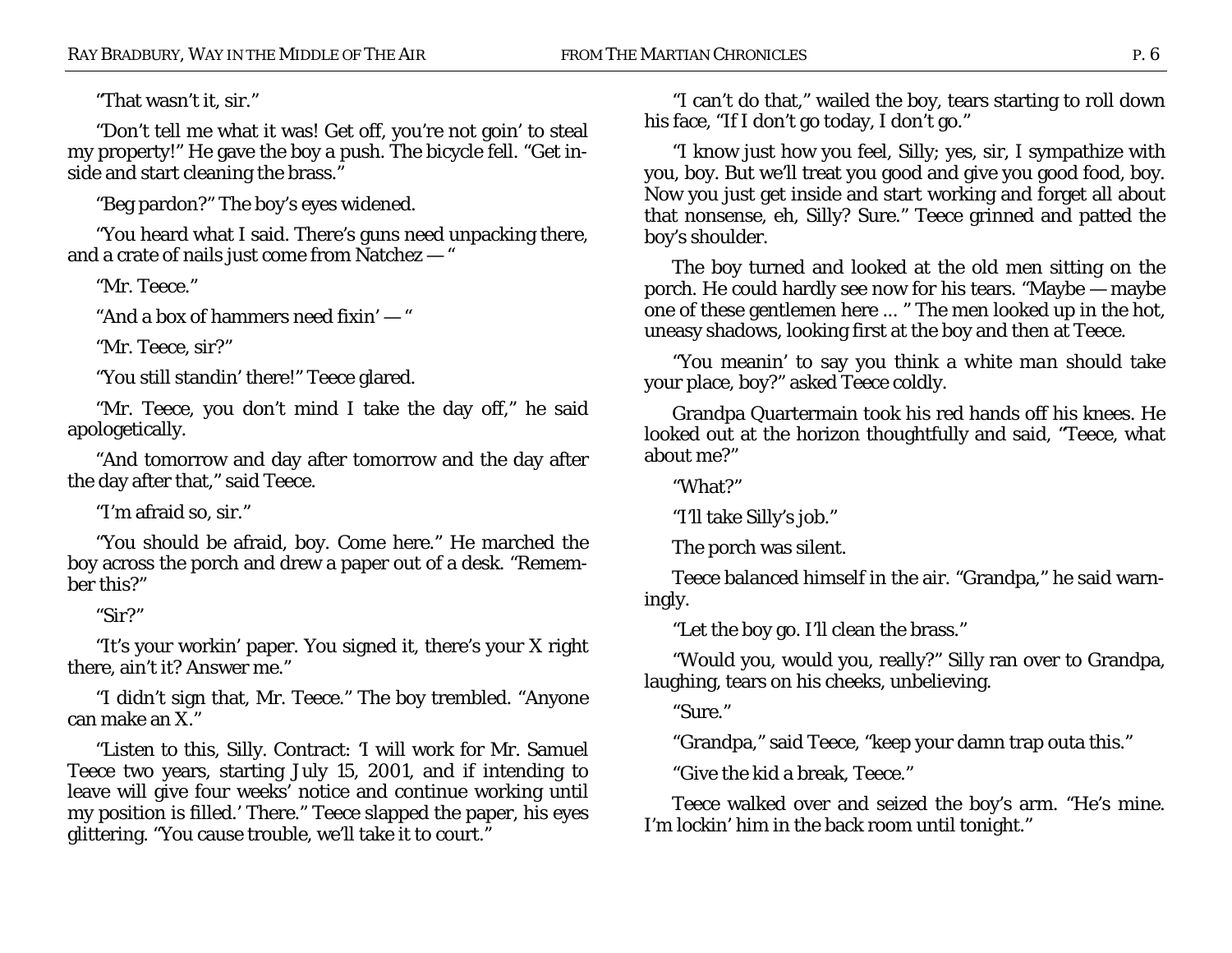"That wasn't it, sir."

"Don't tell me what it was! Get off, you're not goin' to steal my property!" He gave the boy a push. The bicycle fell. "Get inside and start cleaning the brass."

"Beg pardon?" The boy's eyes widened.

"You heard what I said. There's guns need unpacking there, and a crate of nails just come from Natchez — "

"Mr. Teece."

"And a box of hammers need fixin' — "

"Mr. Teece, sir?"

"You *still* standin' there!" Teece glared.

"Mr. Teece, you don't mind I take the day off," he said apologetically.

"And tomorrow and day after tomorrow and the day after the day after that," said Teece.

"I'm afraid so, sir."

"You *should* be afraid, boy. Come here." He marched the boy across the porch and drew a paper out of a desk. "Remember this?"

"Sir?"

"It's your workin' paper. You signed it, there's your X right there, ain't it? Answer me."

"I didn't sign that, Mr. Teece." The boy trembled. "Anyone can make an X."

"Listen to this, Silly. Contract: 'I will work for Mr. Samuel Teece two years, starting July 15, 2001, and if intending to leave will give four weeks' notice and continue working until my position is filled.' There." Teece slapped the paper, his eyes glittering. "You cause trouble, we'll take it to court."

"I can't do that," wailed the boy, tears starting to roll down his face, "If I don't go today, I don't go."

"I know just how you feel, Silly; yes, sir, I sympathize with you, boy. But we'll treat you good and give you good food, boy. Now you just get inside and start working and forget all about that nonsense, eh, Silly? Sure." Teece grinned and patted the boy's shoulder.

The boy turned and looked at the old men sitting on the porch. He could hardly see now for his tears. "Maybe — maybe one of these gentlemen here ... " The men looked up in the hot, uneasy shadows, looking first at the boy and then at Teece.

"You meanin' to say you think a *white man* should take your place, boy?" asked Teece coldly.

Grandpa Quartermain took his red hands off his knees. He looked out at the horizon thoughtfully and said, "Teece, what about me?"

"What?"

"I'll take Silly's job."

The porch was silent.

Teece balanced himself in the air. "Grandpa," he said warningly.

"Let the boy go. I'll clean the brass."

"Would you, would you, really?" Silly ran over to Grandpa, laughing, tears on his cheeks, unbelieving.

"Sure."

"Grandpa," said Teece, "keep your damn trap outa this."

"Give the kid a break, Teece."

Teece walked over and seized the boy's arm. "He's mine. I'm lockin' him in the back room until tonight."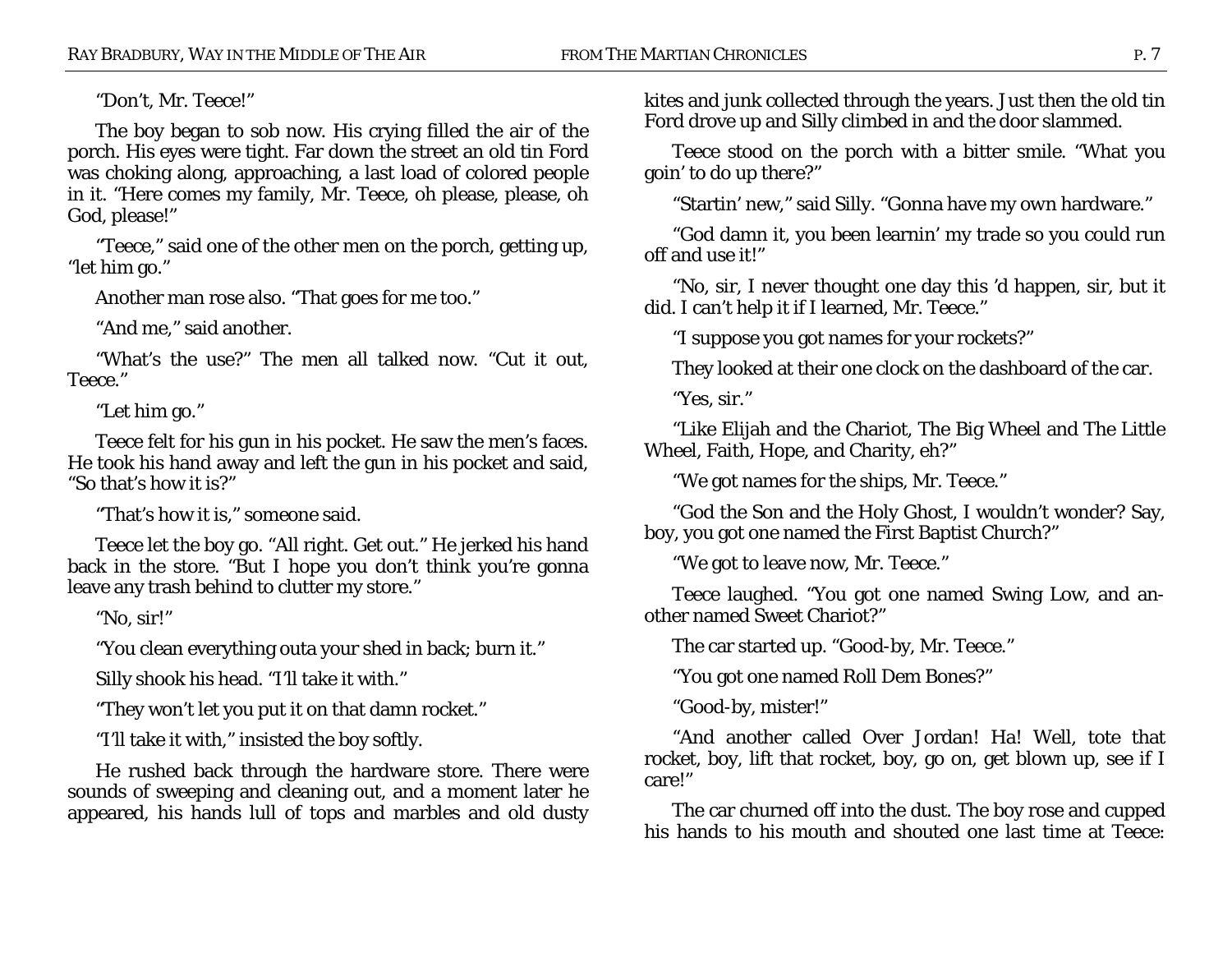"Don't, Mr. Teece!"

The boy began to sob now. His crying filled the air of the porch. His eyes were tight. Far down the street an old tin Ford was choking along, approaching, a last load of colored people in it. "Here comes my family, Mr. Teece, oh please, please, oh God, please!"

"Teece," said one of the other men on the porch, getting up, "let him go."

Another man rose also. "That goes for me too."

"And me," said another.

"What's the use?" The men all talked now. "Cut it out, Teece."

"Let him go."

Teece felt for his gun in his pocket. He saw the men's faces. He took his hand away and left the gun in his pocket and said, "So that's how it is?"

"That's how it is," someone said.

Teece let the boy go. "All right. Get out." He jerked his hand back in the store. "But I hope you don't think you're gonna leave any trash behind to clutter my store."

"No, sir!"

"You clean everything outa your shed in back; burn it."

Silly shook his head. "I'll take it with."

"They won't let you put it on that damn rocket."

"I'll take it with," insisted the boy softly.

He rushed back through the hardware store. There were sounds of sweeping and cleaning out, and a moment later he appeared, his hands lull of tops and marbles and old dusty kites and junk collected through the years. Just then the old tin Ford drove up and Silly climbed in and the door slammed.

Teece stood on the porch with a bitter smile. "What you goin' to do *up there*?"

"Startin' new," said Silly. "Gonna have my *own* hardware."

"God damn it, you been learnin' my trade so you could run off and use it!"

"No, sir, I never thought one day *this 'd* happen, sir, but it did. I can't help it if I learned, Mr. Teece."

"I suppose you got names for your rockets?"

They looked at their one clock on the dashboard of the car.

"Yes, sir."

"Like Elijah and the Chariot, The Big Wheel and The Little Wheel, Faith, Hope, and Charity, eh?"

"We got names for the ships, Mr. Teece."

"God the Son and the Holy Ghost, I wouldn't wonder? Say, boy, you got one named the First Baptist Church?"

"We got to leave now, Mr. Teece."

Teece laughed. "You got one named Swing Low, and another named Sweet Chariot?"

The car started up. "Good-by, Mr. Teece."

"You got one named Roll Dem Bones?"

"Good-by, mister!"

"And another called Over Jordan! Ha! Well, tote that rocket, boy, lift that rocket, boy, go on, get blown up, see if I care!"

The car churned off into the dust. The boy rose and cupped his hands to his mouth and shouted one last time at Teece: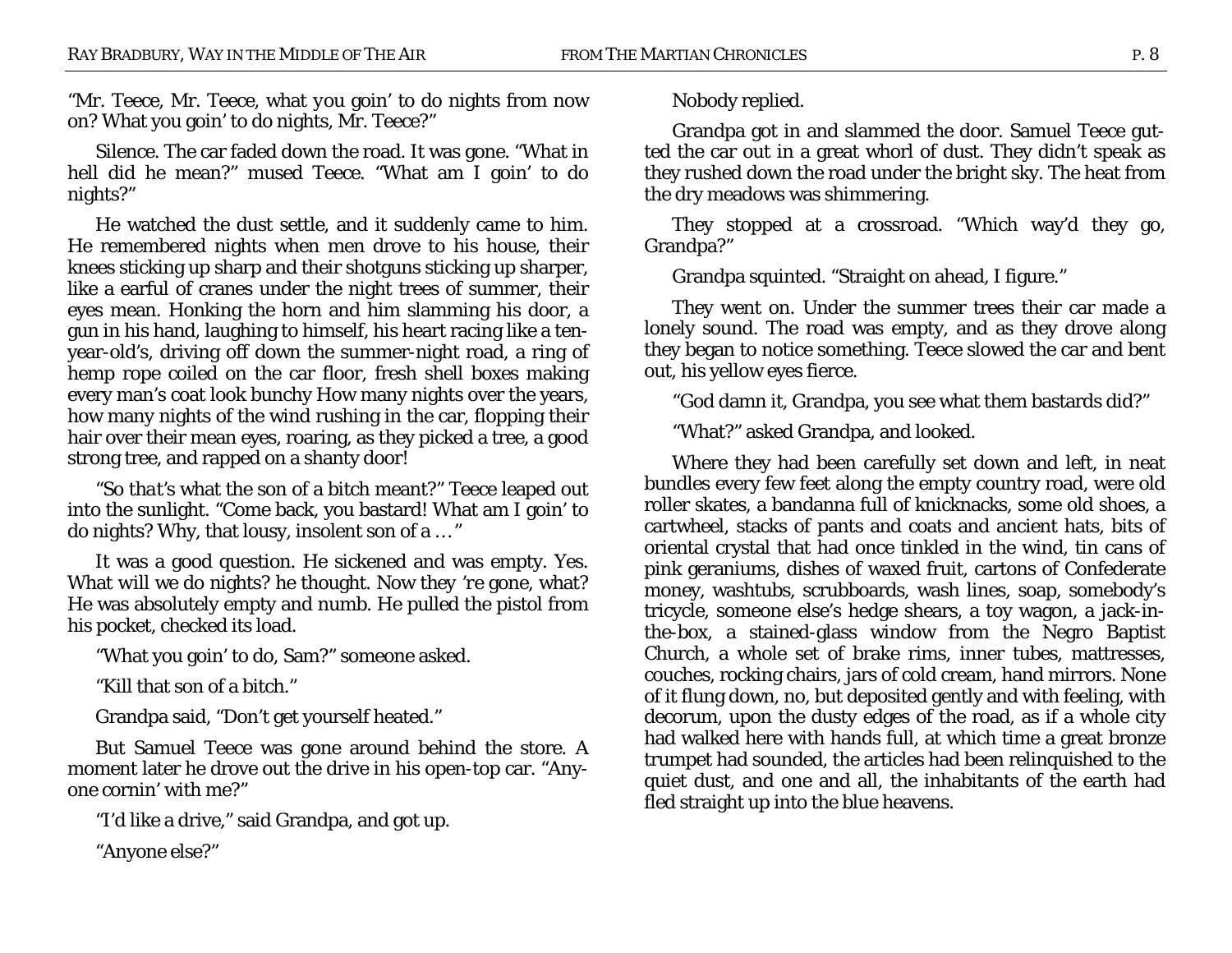"Mr. Teece, Mr. Teece, what *you* goin' to do nights from now on? What you goin' to *do* nights, Mr. Teece?"

Silence. The car faded down the road. It was gone. "What in hell did he mean?" mused Teece. "What am I goin' to do nights?"

He watched the dust settle, and it suddenly came to him. He remembered nights when men drove to his house, their knees sticking up sharp and their shotguns sticking up sharper, like a earful of cranes under the night trees of summer, their eyes mean. Honking the horn and him slamming his door, a gun in his hand, laughing to himself, his heart racing like a tenyear-old's, driving off down the summer-night road, a ring of hemp rope coiled on the car floor, fresh shell boxes making every man's coat look bunchy How many nights over the years, how many nights of the wind rushing in the car, flopping their hair over their mean eyes, roaring, as they picked a tree, a good strong tree, and rapped on a shanty door!

"So *that's* what the son of a bitch meant?" Teece leaped out into the sunlight. "Come back, you bastard! What am I goin' to do nights? Why, that lousy, insolent son of a … "

It was a good question. He sickened and was empty. Yes. What *will* we do nights? he thought. Now *they 're* gone, what? He was absolutely empty and numb. He pulled the pistol from his pocket, checked its load.

"What you goin' to do, Sam?" someone asked.

"Kill that son of a bitch."

Grandpa said, "Don't get yourself heated."

But Samuel Teece was gone around behind the store. A moment later he drove out the drive in his open-top car. "Anyone cornin' with me?"

"I'd like a drive," said Grandpa, and got up.

"Anyone else?"

Nobody replied.

Grandpa got in and slammed the door. Samuel Teece gutted the car out in a great whorl of dust. They didn't speak as they rushed down the road under the bright sky. The heat from the dry meadows was shimmering.

They stopped at a crossroad. "Which way'd they go, Grandpa?"

Grandpa squinted. "Straight on ahead, I figure."

They went on. Under the summer trees their car made a lonely sound. The road was empty, and as they drove along they began to notice something. Teece slowed the car and bent out, his yellow eyes fierce.

"God damn it, Grandpa, you see what them bastards did?"

"What?" asked Grandpa, and looked.

Where they had been carefully set down and left, in neat bundles every few feet along the empty country road, were old roller skates, a bandanna full of knicknacks, some old shoes, a cartwheel, stacks of pants and coats and ancient hats, bits of oriental crystal that had once tinkled in the wind, tin cans of pink geraniums, dishes of waxed fruit, cartons of Confederate money, washtubs, scrubboards, wash lines, soap, somebody's tricycle, someone else's hedge shears, a toy wagon, a jack-inthe-box, a stained-glass window from the Negro Baptist Church, a whole set of brake rims, inner tubes, mattresses, couches, rocking chairs, jars of cold cream, hand mirrors. None of it flung down, no, but deposited gently and with feeling, with decorum, upon the dusty edges of the road, as if a whole city had walked here with hands full, at which time a great bronze trumpet had sounded, the articles had been relinquished to the quiet dust, and one and all, the inhabitants of the earth had fled straight up into the blue heavens.